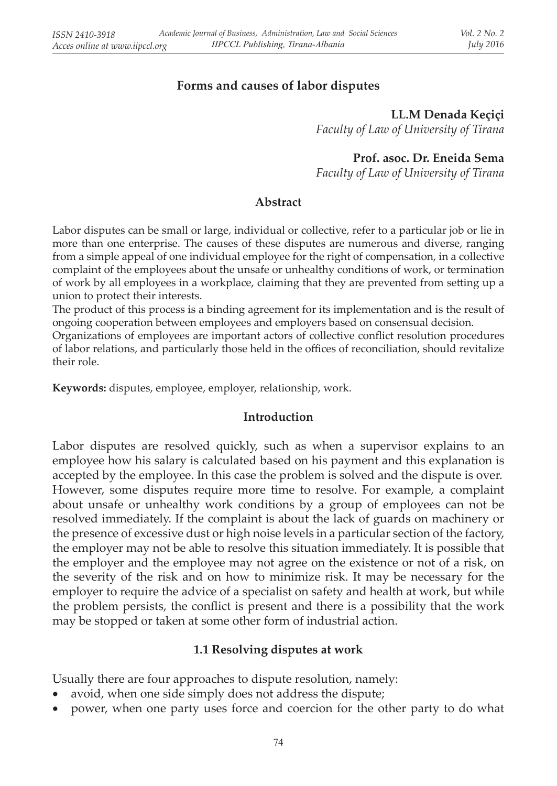## **Forms and causes of labor disputes**

**LL.M Denada Keçiçi**  *Faculty of Law of University of Tirana*

**Prof. asoc. Dr. Eneida Sema** 

*Faculty of Law of University of Tirana*

#### **Abstract**

Labor disputes can be small or large, individual or collective, refer to a particular job or lie in more than one enterprise. The causes of these disputes are numerous and diverse, ranging from a simple appeal of one individual employee for the right of compensation, in a collective complaint of the employees about the unsafe or unhealthy conditions of work, or termination of work by all employees in a workplace, claiming that they are prevented from setting up a union to protect their interests.

The product of this process is a binding agreement for its implementation and is the result of ongoing cooperation between employees and employers based on consensual decision.

Organizations of employees are important actors of collective conflict resolution procedures of labor relations, and particularly those held in the offices of reconciliation, should revitalize their role.

**Keywords:** disputes, employee, employer, relationship, work.

### **Introduction**

Labor disputes are resolved quickly, such as when a supervisor explains to an employee how his salary is calculated based on his payment and this explanation is accepted by the employee. In this case the problem is solved and the dispute is over. However, some disputes require more time to resolve. For example, a complaint about unsafe or unhealthy work conditions by a group of employees can not be resolved immediately. If the complaint is about the lack of guards on machinery or the presence of excessive dust or high noise levels in a particular section of the factory, the employer may not be able to resolve this situation immediately. It is possible that the employer and the employee may not agree on the existence or not of a risk, on the severity of the risk and on how to minimize risk. It may be necessary for the employer to require the advice of a specialist on safety and health at work, but while the problem persists, the conflict is present and there is a possibility that the work may be stopped or taken at some other form of industrial action.

### **1.1 Resolving disputes at work**

Usually there are four approaches to dispute resolution, namely:

- avoid, when one side simply does not address the dispute;
- power, when one party uses force and coercion for the other party to do what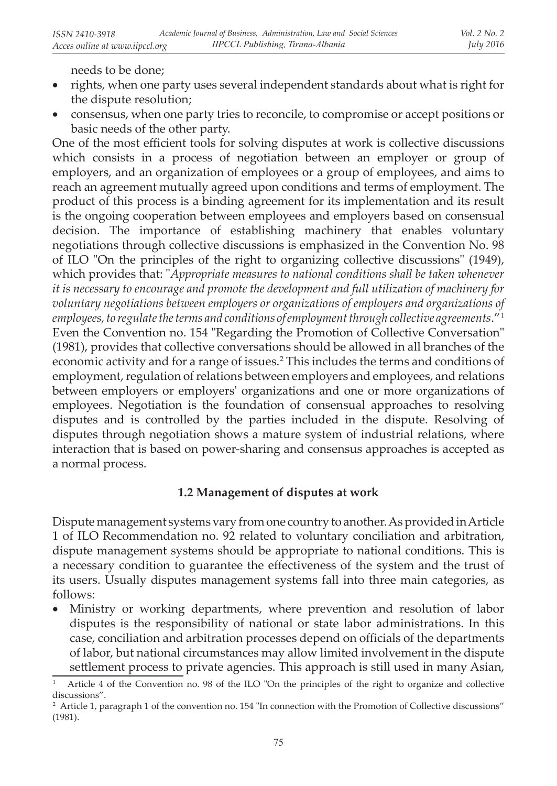needs to be done;

- rights, when one party uses several independent standards about what is right for the dispute resolution;
- • consensus, when one party tries to reconcile, to compromise or accept positions or basic needs of the other party.

One of the most efficient tools for solving disputes at work is collective discussions which consists in a process of negotiation between an employer or group of employers, and an organization of employees or a group of employees, and aims to reach an agreement mutually agreed upon conditions and terms of employment. The product of this process is a binding agreement for its implementation and its result is the ongoing cooperation between employees and employers based on consensual decision. The importance of establishing machinery that enables voluntary negotiations through collective discussions is emphasized in the Convention No. 98 of ILO "On the principles of the right to organizing collective discussions" (1949), which provides that: "*Appropriate measures to national conditions shall be taken whenever it is necessary to encourage and promote the development and full utilization of machinery for voluntary negotiations between employers or organizations of employers and organizations of employees, to regulate the terms and conditions of employment through collective agreements*." 1 Even the Convention no. 154 "Regarding the Promotion of Collective Conversation" (1981), provides that collective conversations should be allowed in all branches of the economic activity and for a range of issues.<sup>2</sup> This includes the terms and conditions of employment, regulation of relations between employers and employees, and relations between employers or employers' organizations and one or more organizations of employees. Negotiation is the foundation of consensual approaches to resolving disputes and is controlled by the parties included in the dispute. Resolving of disputes through negotiation shows a mature system of industrial relations, where interaction that is based on power-sharing and consensus approaches is accepted as a normal process.

## **1.2 Management of disputes at work**

Dispute management systems vary from one country to another. As provided in Article 1 of ILO Recommendation no. 92 related to voluntary conciliation and arbitration, dispute management systems should be appropriate to national conditions. This is a necessary condition to guarantee the effectiveness of the system and the trust of its users. Usually disputes management systems fall into three main categories, as follows:

Ministry or working departments, where prevention and resolution of labor disputes is the responsibility of national or state labor administrations. In this case, conciliation and arbitration processes depend on officials of the departments of labor, but national circumstances may allow limited involvement in the dispute settlement process to private agencies. This approach is still used in many Asian,

<sup>1</sup> Article 4 of the Convention no. 98 of the ILO "On the principles of the right to organize and collective discussions".

<sup>&</sup>lt;sup>2</sup> Article 1, paragraph 1 of the convention no. 154 "In connection with the Promotion of Collective discussions" (1981).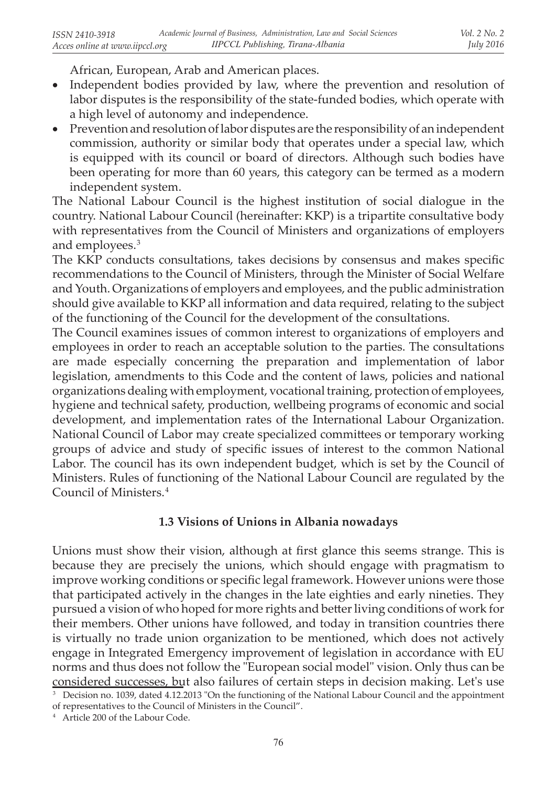African, European, Arab and American places.

- Independent bodies provided by law, where the prevention and resolution of labor disputes is the responsibility of the state-funded bodies, which operate with a high level of autonomy and independence.
- Prevention and resolution of labor disputes are the responsibility of an independent commission, authority or similar body that operates under a special law, which is equipped with its council or board of directors. Although such bodies have been operating for more than 60 years, this category can be termed as a modern independent system.

The National Labour Council is the highest institution of social dialogue in the country. National Labour Council (hereinafter: KKP) is a tripartite consultative body with representatives from the Council of Ministers and organizations of employers and employees.<sup>3</sup>

The KKP conducts consultations, takes decisions by consensus and makes specific recommendations to the Council of Ministers, through the Minister of Social Welfare and Youth. Organizations of employers and employees, and the public administration should give available to KKP all information and data required, relating to the subject of the functioning of the Council for the development of the consultations.

The Council examines issues of common interest to organizations of employers and employees in order to reach an acceptable solution to the parties. The consultations are made especially concerning the preparation and implementation of labor legislation, amendments to this Code and the content of laws, policies and national organizations dealing with employment, vocational training, protection of employees, hygiene and technical safety, production, wellbeing programs of economic and social development, and implementation rates of the International Labour Organization. National Council of Labor may create specialized committees or temporary working groups of advice and study of specific issues of interest to the common National Labor. The council has its own independent budget, which is set by the Council of Ministers. Rules of functioning of the National Labour Council are regulated by the Council of Ministers.<sup>4</sup>

## **1.3 Visions of Unions in Albania nowadays**

Unions must show their vision, although at first glance this seems strange. This is because they are precisely the unions, which should engage with pragmatism to improve working conditions or specific legal framework. However unions were those that participated actively in the changes in the late eighties and early nineties. They pursued a vision of who hoped for more rights and better living conditions of work for their members. Other unions have followed, and today in transition countries there is virtually no trade union organization to be mentioned, which does not actively engage in Integrated Emergency improvement of legislation in accordance with EU norms and thus does not follow the "European social model" vision. Only thus can be considered successes, but also failures of certain steps in decision making. Let's use

<sup>&</sup>lt;sup>3</sup> Decision no. 1039, dated 4.12.2013 "On the functioning of the National Labour Council and the appointment

of representatives to the Council of Ministers in the Council".

<sup>4</sup> Article 200 of the Labour Code.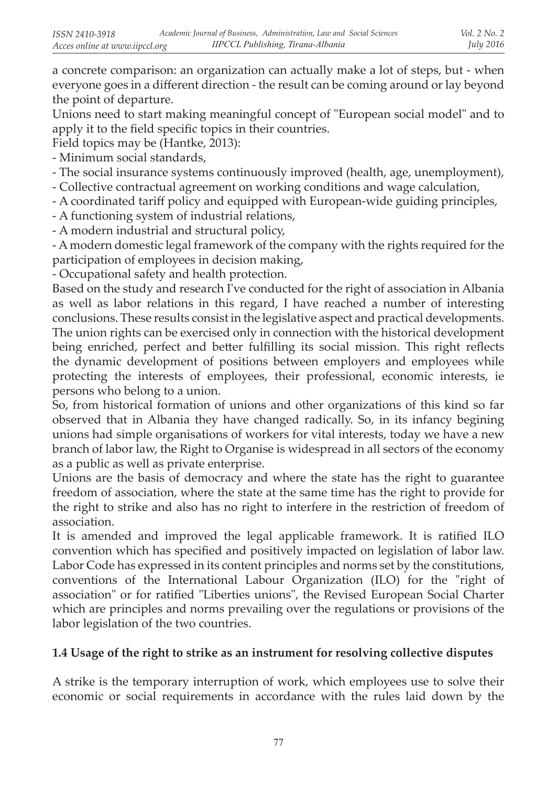a concrete comparison: an organization can actually make a lot of steps, but - when everyone goes in a different direction - the result can be coming around or lay beyond the point of departure.

Unions need to start making meaningful concept of "European social model" and to apply it to the field specific topics in their countries.

Field topics may be (Hantke, 2013):

- Minimum social standards,

- The social insurance systems continuously improved (health, age, unemployment),

- Collective contractual agreement on working conditions and wage calculation,

- A coordinated tariff policy and equipped with European-wide guiding principles,

- A functioning system of industrial relations,

- A modern industrial and structural policy,

- A modern domestic legal framework of the company with the rights required for the participation of employees in decision making,

- Occupational safety and health protection.

Based on the study and research I've conducted for the right of association in Albania as well as labor relations in this regard, I have reached a number of interesting conclusions. These results consist in the legislative aspect and practical developments. The union rights can be exercised only in connection with the historical development being enriched, perfect and better fulfilling its social mission. This right reflects the dynamic development of positions between employers and employees while protecting the interests of employees, their professional, economic interests, ie persons who belong to a union.

So, from historical formation of unions and other organizations of this kind so far observed that in Albania they have changed radically. So, in its infancy begining unions had simple organisations of workers for vital interests, today we have a new branch of labor law, the Right to Organise is widespread in all sectors of the economy as a public as well as private enterprise.

Unions are the basis of democracy and where the state has the right to guarantee freedom of association, where the state at the same time has the right to provide for the right to strike and also has no right to interfere in the restriction of freedom of association.

It is amended and improved the legal applicable framework. It is ratified ILO convention which has specified and positively impacted on legislation of labor law. Labor Code has expressed in its content principles and norms set by the constitutions, conventions of the International Labour Organization (ILO) for the "right of association" or for ratified "Liberties unions", the Revised European Social Charter which are principles and norms prevailing over the regulations or provisions of the labor legislation of the two countries.

# **1.4 Usage of the right to strike as an instrument for resolving collective disputes**

A strike is the temporary interruption of work, which employees use to solve their economic or social requirements in accordance with the rules laid down by the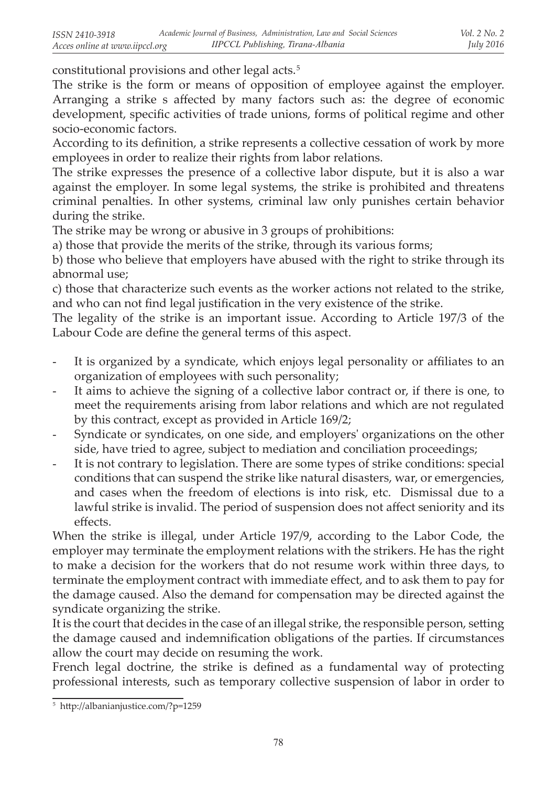constitutional provisions and other legal acts.<sup>5</sup>

The strike is the form or means of opposition of employee against the employer. Arranging a strike s affected by many factors such as: the degree of economic development, specific activities of trade unions, forms of political regime and other socio-economic factors.

According to its definition, a strike represents a collective cessation of work by more employees in order to realize their rights from labor relations.

The strike expresses the presence of a collective labor dispute, but it is also a war against the employer. In some legal systems, the strike is prohibited and threatens criminal penalties. In other systems, criminal law only punishes certain behavior during the strike.

The strike may be wrong or abusive in 3 groups of prohibitions:

a) those that provide the merits of the strike, through its various forms;

b) those who believe that employers have abused with the right to strike through its abnormal use;

c) those that characterize such events as the worker actions not related to the strike, and who can not find legal justification in the very existence of the strike.

The legality of the strike is an important issue. According to Article 197/3 of the Labour Code are define the general terms of this aspect.

- It is organized by a syndicate, which enjoys legal personality or affiliates to an organization of employees with such personality;
- It aims to achieve the signing of a collective labor contract or, if there is one, to meet the requirements arising from labor relations and which are not regulated by this contract, except as provided in Article 169/2;
- Syndicate or syndicates, on one side, and employers' organizations on the other side, have tried to agree, subject to mediation and conciliation proceedings;
- It is not contrary to legislation. There are some types of strike conditions: special conditions that can suspend the strike like natural disasters, war, or emergencies, and cases when the freedom of elections is into risk, etc. Dismissal due to a lawful strike is invalid. The period of suspension does not affect seniority and its effects.

When the strike is illegal, under Article 197/9, according to the Labor Code, the employer may terminate the employment relations with the strikers. He has the right to make a decision for the workers that do not resume work within three days, to terminate the employment contract with immediate effect, and to ask them to pay for the damage caused. Also the demand for compensation may be directed against the syndicate organizing the strike.

It is the court that decides in the case of an illegal strike, the responsible person, setting the damage caused and indemnification obligations of the parties. If circumstances allow the court may decide on resuming the work.

French legal doctrine, the strike is defined as a fundamental way of protecting professional interests, such as temporary collective suspension of labor in order to

<sup>5</sup> http://albanianjustice.com/?p=1259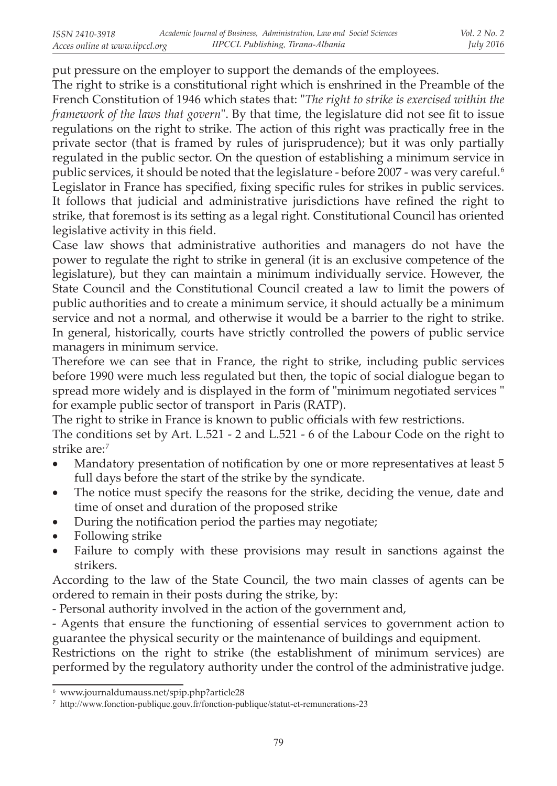put pressure on the employer to support the demands of the employees.

The right to strike is a constitutional right which is enshrined in the Preamble of the French Constitution of 1946 which states that: "*The right to strike is exercised within the framework of the laws that govern*". By that time, the legislature did not see fit to issue regulations on the right to strike. The action of this right was practically free in the private sector (that is framed by rules of jurisprudence); but it was only partially regulated in the public sector. On the question of establishing a minimum service in public services, it should be noted that the legislature - before 2007 - was very careful.<sup>6</sup> Legislator in France has specified, fixing specific rules for strikes in public services. It follows that judicial and administrative jurisdictions have refined the right to strike, that foremost is its setting as a legal right. Constitutional Council has oriented legislative activity in this field.

Case law shows that administrative authorities and managers do not have the power to regulate the right to strike in general (it is an exclusive competence of the legislature), but they can maintain a minimum individually service. However, the State Council and the Constitutional Council created a law to limit the powers of public authorities and to create a minimum service, it should actually be a minimum service and not a normal, and otherwise it would be a barrier to the right to strike. In general, historically, courts have strictly controlled the powers of public service managers in minimum service.

Therefore we can see that in France, the right to strike, including public services before 1990 were much less regulated but then, the topic of social dialogue began to spread more widely and is displayed in the form of "minimum negotiated services " for example public sector of transport in Paris (RATP).

The right to strike in France is known to public officials with few restrictions.

The conditions set by Art. L.521 - 2 and L.521 - 6 of the Labour Code on the right to strike are:<sup>7</sup>

- Mandatory presentation of notification by one or more representatives at least 5 full days before the start of the strike by the syndicate.
- The notice must specify the reasons for the strike, deciding the venue, date and time of onset and duration of the proposed strike
- During the notification period the parties may negotiate;
- Following strike
- Failure to comply with these provisions may result in sanctions against the strikers.

According to the law of the State Council, the two main classes of agents can be ordered to remain in their posts during the strike, by:

- Personal authority involved in the action of the government and,

- Agents that ensure the functioning of essential services to government action to guarantee the physical security or the maintenance of buildings and equipment.

Restrictions on the right to strike (the establishment of minimum services) are performed by the regulatory authority under the control of the administrative judge.

<sup>6</sup> www.journaldumauss.net/spip.php?article28

<sup>7</sup> http://www.fonction-publique.gouv.fr/fonction-publique/statut-et-remunerations-23